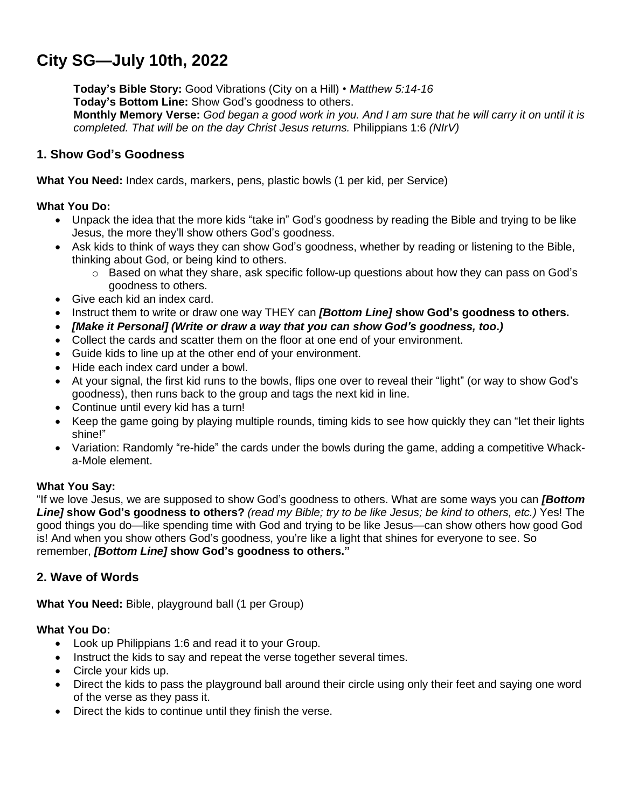# **City SG—July 10th, 2022**

**Today's Bible Story:** Good Vibrations (City on a Hill) • *Matthew 5:14-16* **Today's Bottom Line:** Show God's goodness to others. Monthly Memory Verse: God began a good work in you. And I am sure that he will carry it on until it is *completed. That will be on the day Christ Jesus returns.* Philippians 1:6 *(NIrV)*

# **1. Show God's Goodness**

**What You Need:** Index cards, markers, pens, plastic bowls (1 per kid, per Service)

## **What You Do:**

- Unpack the idea that the more kids "take in" God's goodness by reading the Bible and trying to be like Jesus, the more they'll show others God's goodness.
- Ask kids to think of ways they can show God's goodness, whether by reading or listening to the Bible, thinking about God, or being kind to others.
	- $\circ$  Based on what they share, ask specific follow-up questions about how they can pass on God's goodness to others.
- Give each kid an index card.
- Instruct them to write or draw one way THEY can *[Bottom Line]* **show God's goodness to others.**
- *[Make it Personal] (Write or draw a way that you can show God's goodness, too***.***)*
- Collect the cards and scatter them on the floor at one end of your environment.
- Guide kids to line up at the other end of your environment.
- Hide each index card under a bowl.
- At your signal, the first kid runs to the bowls, flips one over to reveal their "light" (or way to show God's goodness), then runs back to the group and tags the next kid in line.
- Continue until every kid has a turn!
- Keep the game going by playing multiple rounds, timing kids to see how quickly they can "let their lights" shine!"
- Variation: Randomly "re-hide" the cards under the bowls during the game, adding a competitive Whacka-Mole element.

### **What You Say:**

"If we love Jesus, we are supposed to show God's goodness to others. What are some ways you can *[Bottom* Line] show God's goodness to others? (read my Bible; try to be like Jesus; be kind to others, etc.) Yes! The good things you do—like spending time with God and trying to be like Jesus—can show others how good God is! And when you show others God's goodness, you're like a light that shines for everyone to see. So remember, *[Bottom Line]* **show God's goodness to others."**

## **2. Wave of Words**

**What You Need:** Bible, playground ball (1 per Group)

### **What You Do:**

- Look up Philippians 1:6 and read it to your Group.
- Instruct the kids to say and repeat the verse together several times.
- Circle your kids up.
- Direct the kids to pass the playground ball around their circle using only their feet and saying one word of the verse as they pass it.
- Direct the kids to continue until they finish the verse.